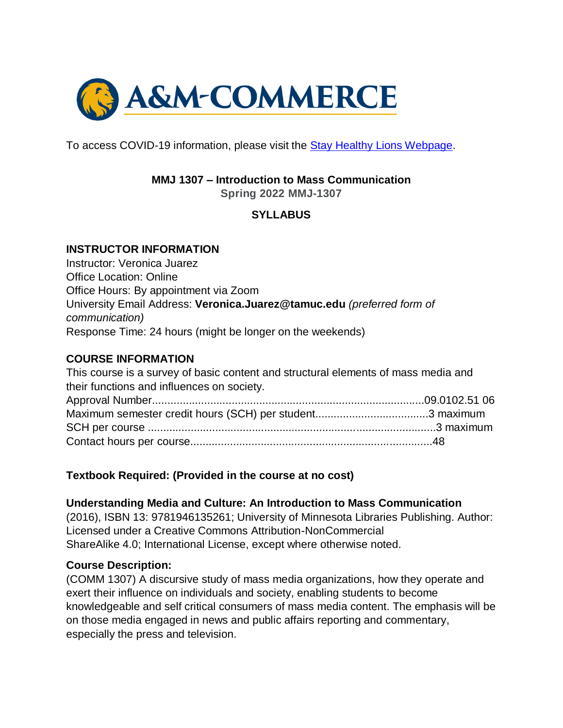

To access COVID-19 information, please visit the [Stay Healthy Lions Webpage.](https://new.tamuc.edu/coronavirus/)

### **MMJ 1307 – Introduction to Mass Communication**

**Spring 2022 MMJ-1307**

## **SYLLABUS**

#### **INSTRUCTOR INFORMATION**

Instructor: Veronica Juarez Office Location: Online Office Hours: By appointment via Zoom University Email Address: **Veronica.Juarez@tamuc.edu** *(preferred form of communication)* Response Time: 24 hours (might be longer on the weekends)

### **COURSE INFORMATION**

| This course is a survey of basic content and structural elements of mass media and |  |
|------------------------------------------------------------------------------------|--|
| their functions and influences on society.                                         |  |
|                                                                                    |  |
|                                                                                    |  |
|                                                                                    |  |
|                                                                                    |  |

#### **Textbook Required: (Provided in the course at no cost)**

#### **Understanding Media and Culture: An Introduction to Mass Communication**

(2016), ISBN 13: 9781946135261; University of Minnesota Libraries Publishing. Author: Licensed under a Creative Commons Attribution-NonCommercial ShareAlike 4.0; International License, except where otherwise noted.

#### **Course Description:**

(COMM 1307) A discursive study of mass media organizations, how they operate and exert their influence on individuals and society, enabling students to become knowledgeable and self critical consumers of mass media content. The emphasis will be on those media engaged in news and public affairs reporting and commentary, especially the press and television.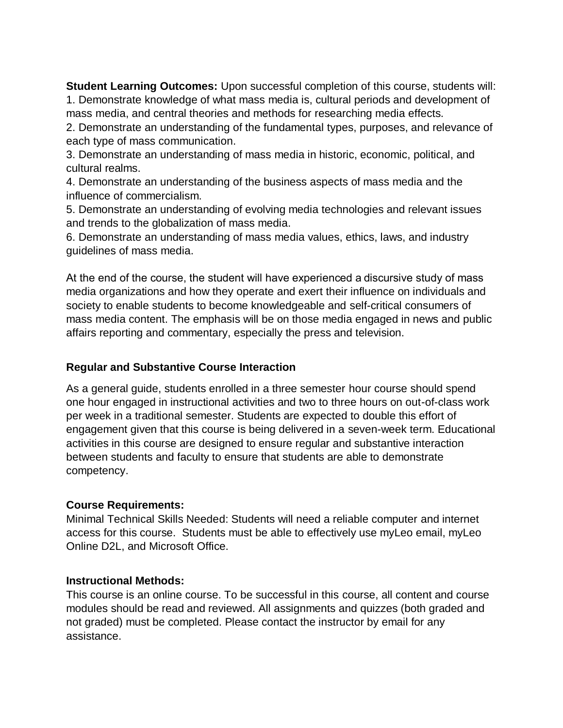**Student Learning Outcomes:** Upon successful completion of this course, students will: 1. Demonstrate knowledge of what mass media is, cultural periods and development of mass media, and central theories and methods for researching media effects.

2. Demonstrate an understanding of the fundamental types, purposes, and relevance of each type of mass communication.

3. Demonstrate an understanding of mass media in historic, economic, political, and cultural realms.

4. Demonstrate an understanding of the business aspects of mass media and the influence of commercialism.

5. Demonstrate an understanding of evolving media technologies and relevant issues and trends to the globalization of mass media.

6. Demonstrate an understanding of mass media values, ethics, laws, and industry guidelines of mass media.

At the end of the course, the student will have experienced a discursive study of mass media organizations and how they operate and exert their influence on individuals and society to enable students to become knowledgeable and self-critical consumers of mass media content. The emphasis will be on those media engaged in news and public affairs reporting and commentary, especially the press and television.

#### **Regular and Substantive Course Interaction**

As a general guide, students enrolled in a three semester hour course should spend one hour engaged in instructional activities and two to three hours on out-of-class work per week in a traditional semester. Students are expected to double this effort of engagement given that this course is being delivered in a seven-week term. Educational activities in this course are designed to ensure regular and substantive interaction between students and faculty to ensure that students are able to demonstrate competency.

#### **Course Requirements:**

Minimal Technical Skills Needed: Students will need a reliable computer and internet access for this course. Students must be able to effectively use myLeo email, myLeo Online D2L, and Microsoft Office.

#### **Instructional Methods:**

This course is an online course. To be successful in this course, all content and course modules should be read and reviewed. All assignments and quizzes (both graded and not graded) must be completed. Please contact the instructor by email for any assistance.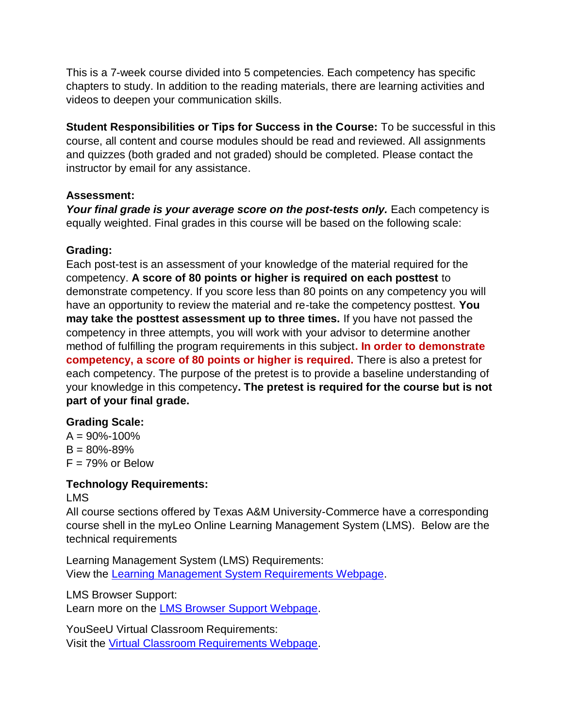This is a 7-week course divided into 5 competencies. Each competency has specific chapters to study. In addition to the reading materials, there are learning activities and videos to deepen your communication skills.

**Student Responsibilities or Tips for Success in the Course:** To be successful in this course, all content and course modules should be read and reviewed. All assignments and quizzes (both graded and not graded) should be completed. Please contact the instructor by email for any assistance.

## **Assessment:**

*Your final grade is your average score on the post-tests only.* Each competency is equally weighted. Final grades in this course will be based on the following scale:

## **Grading:**

Each post-test is an assessment of your knowledge of the material required for the competency. **A score of 80 points or higher is required on each posttest** to demonstrate competency. If you score less than 80 points on any competency you will have an opportunity to review the material and re-take the competency posttest. **You may take the posttest assessment up to three times.** If you have not passed the competency in three attempts, you will work with your advisor to determine another method of fulfilling the program requirements in this subject**. In order to demonstrate competency, a score of 80 points or higher is required.** There is also a pretest for each competency. The purpose of the pretest is to provide a baseline understanding of your knowledge in this competency**. The pretest is required for the course but is not part of your final grade.**

## **Grading Scale:**

 $A = 90\% - 100\%$  $B = 80\% - 89\%$  $F = 79\%$  or Below

# **Technology Requirements:**

LMS

All course sections offered by Texas A&M University-Commerce have a corresponding course shell in the myLeo Online Learning Management System (LMS). Below are the technical requirements

Learning Management System (LMS) Requirements: View the [Learning Management System Requirements Webpage.](https://community.brightspace.com/s/article/Brightspace-Platform-Requirements)

LMS Browser Support:

Learn more on the [LMS Browser Support Webpage.](https://documentation.brightspace.com/EN/brightspace/requirements/all/browser_support.htm)

YouSeeU Virtual Classroom Requirements: Visit the [Virtual Classroom Requirements Webpage.](https://support.youseeu.com/hc/en-us/articles/115007031107-Basic-System-Requirements)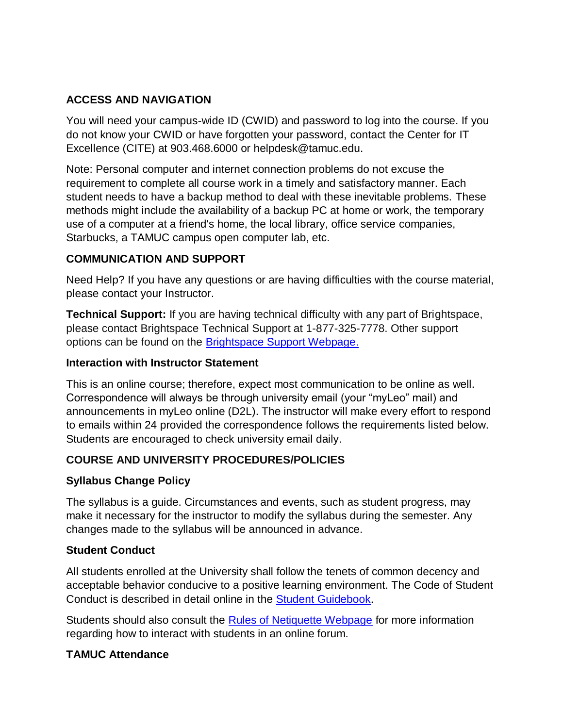## **ACCESS AND NAVIGATION**

You will need your campus-wide ID (CWID) and password to log into the course. If you do not know your CWID or have forgotten your password, contact the Center for IT Excellence (CITE) at 903.468.6000 or helpdesk@tamuc.edu.

Note: Personal computer and internet connection problems do not excuse the requirement to complete all course work in a timely and satisfactory manner. Each student needs to have a backup method to deal with these inevitable problems. These methods might include the availability of a backup PC at home or work, the temporary use of a computer at a friend's home, the local library, office service companies, Starbucks, a TAMUC campus open computer lab, etc.

## **COMMUNICATION AND SUPPORT**

Need Help? If you have any questions or are having difficulties with the course material, please contact your Instructor.

**Technical Support:** If you are having technical difficulty with any part of Brightspace, please contact Brightspace Technical Support at 1-877-325-7778. Other support options can be found on the **Brightspace Support Webpage.** 

#### **Interaction with Instructor Statement**

This is an online course; therefore, expect most communication to be online as well. Correspondence will always be through university email (your "myLeo" mail) and announcements in myLeo online (D2L). The instructor will make every effort to respond to emails within 24 provided the correspondence follows the requirements listed below. Students are encouraged to check university email daily.

## **COURSE AND UNIVERSITY PROCEDURES/POLICIES**

## **Syllabus Change Policy**

The syllabus is a guide. Circumstances and events, such as student progress, may make it necessary for the instructor to modify the syllabus during the semester. Any changes made to the syllabus will be announced in advance.

#### **Student Conduct**

All students enrolled at the University shall follow the tenets of common decency and acceptable behavior conducive to a positive learning environment. The Code of Student Conduct is described in detail online in the **Student Guidebook.** 

Students should also consult the [Rules of Netiquette Webpage](https://www.britannica.com/topic/netiquette) for more information regarding how to interact with students in an online forum.

## **TAMUC Attendance**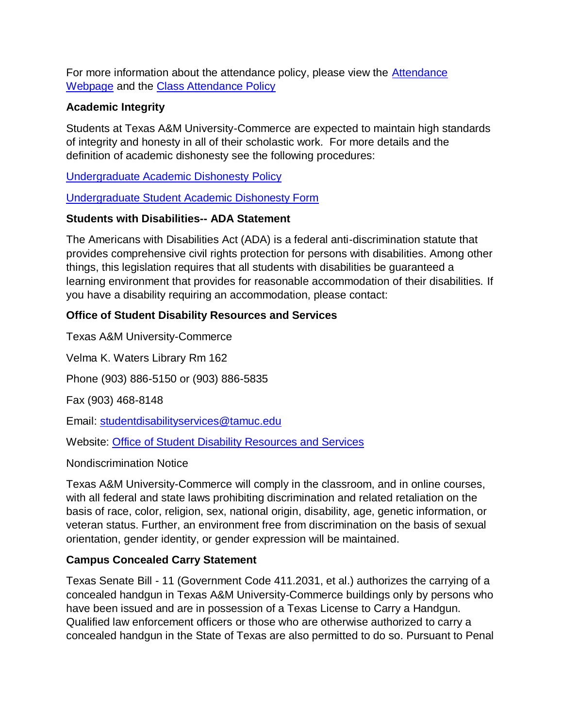For more information about the attendance policy, please view the [Attendance](http://www.tamuc.edu/admissions/registrar/generalInformation/attendance.aspx)  [Webpage](http://www.tamuc.edu/admissions/registrar/generalInformation/attendance.aspx) and the [Class Attendance Policy](http://www.tamuc.edu/aboutUs/policiesProceduresStandardsStatements/rulesProcedures/13students/academic/13.99.99.R0.01.pdf)

## **Academic Integrity**

Students at Texas A&M University-Commerce are expected to maintain high standards of integrity and honesty in all of their scholastic work. For more details and the definition of academic dishonesty see the following procedures:

[Undergraduate Academic Dishonesty P](http://www.tamuc.edu/aboutUs/policiesProceduresStandardsStatements/rulesProcedures/13students/undergraduates/13.99.99.R0.03UndergraduateAcademicDishonesty.pdf)olicy

[Undergraduate Student Academic Dishonesty Form](http://www.tamuc.edu/aboutUs/policiesProceduresStandardsStatements/rulesProcedures/documents/13.99.99.R0.03UndergraduateStudentAcademicDishonestyForm.pdf)

#### **Students with Disabilities-- ADA Statement**

The Americans with Disabilities Act (ADA) is a federal anti-discrimination statute that provides comprehensive civil rights protection for persons with disabilities. Among other things, this legislation requires that all students with disabilities be guaranteed a learning environment that provides for reasonable accommodation of their disabilities. If you have a disability requiring an accommodation, please contact:

## **Office of Student Disability Resources and Services**

Texas A&M University-Commerce

Velma K. Waters Library Rm 162

Phone (903) 886-5150 or (903) 886-5835

Fax (903) 468-8148

Email: [studentdisabilityservices@tamuc.edu](mailto:studentdisabilityservices@tamuc.edu)

Website: [Office of Student Disability Resources and Services](http://www.tamuc.edu/campusLife/campusServices/studentDisabilityResourcesAndServices/)

Nondiscrimination Notice

Texas A&M University-Commerce will comply in the classroom, and in online courses, with all federal and state laws prohibiting discrimination and related retaliation on the basis of race, color, religion, sex, national origin, disability, age, genetic information, or veteran status. Further, an environment free from discrimination on the basis of sexual orientation, gender identity, or gender expression will be maintained.

## **Campus Concealed Carry Statement**

Texas Senate Bill - 11 (Government Code 411.2031, et al.) authorizes the carrying of a concealed handgun in Texas A&M University-Commerce buildings only by persons who have been issued and are in possession of a Texas License to Carry a Handgun. Qualified law enforcement officers or those who are otherwise authorized to carry a concealed handgun in the State of Texas are also permitted to do so. Pursuant to Penal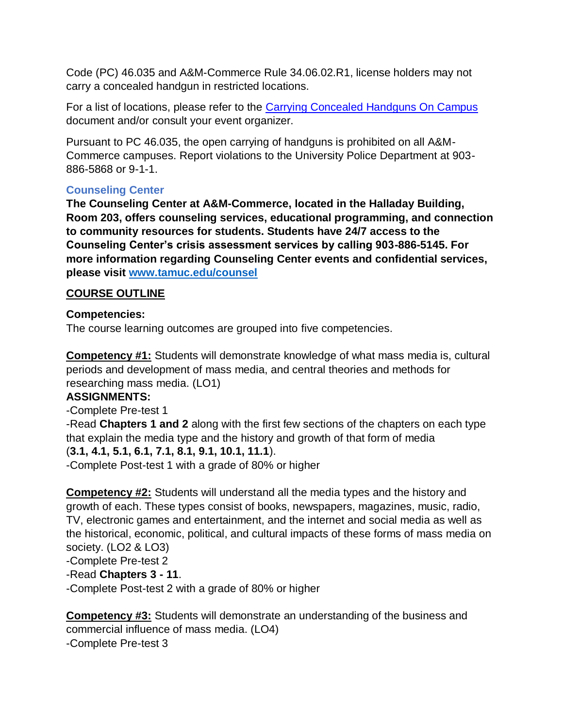Code (PC) 46.035 and A&M-Commerce Rule 34.06.02.R1, license holders may not carry a concealed handgun in restricted locations.

For a list of locations, please refer to the [Carrying Concealed Handguns On Campus](http://www.tamuc.edu/aboutUs/policiesProceduresStandardsStatements/rulesProcedures/34SafetyOfEmployeesAndStudents/34.06.02.R1.pdf) document and/or consult your event organizer.

Pursuant to PC 46.035, the open carrying of handguns is prohibited on all A&M-Commerce campuses. Report violations to the University Police Department at 903- 886-5868 or 9-1-1.

# **Counseling Center**

**The Counseling Center at A&M-Commerce, located in the Halladay Building, Room 203, offers counseling services, educational programming, and connection to community resources for students. Students have 24/7 access to the Counseling Center's crisis assessment services by calling 903-886-5145. For more information regarding Counseling Center events and confidential services, please visit [www.tamuc.edu/counsel](https://outlook.tamuc.edu/owa/redir.aspx?C=TdO3L4WhemCcPnyQ0wud_WyC5YnfbUodl-xrSuYHeSURqB3hvkHZCA..&URL=http%3a%2f%2fwww.tamuc.edu%2fcounsel)**

# **COURSE OUTLINE**

## **Competencies:**

The course learning outcomes are grouped into five competencies.

**Competency #1:** Students will demonstrate knowledge of what mass media is, cultural periods and development of mass media, and central theories and methods for researching mass media. (LO1)

## **ASSIGNMENTS:**

-Complete Pre-test 1

-Read **Chapters 1 and 2** along with the first few sections of the chapters on each type that explain the media type and the history and growth of that form of media (**3.1, 4.1, 5.1, 6.1, 7.1, 8.1, 9.1, 10.1, 11.1**).

-Complete Post-test 1 with a grade of 80% or higher

**Competency #2:** Students will understand all the media types and the history and growth of each. These types consist of books, newspapers, magazines, music, radio, TV, electronic games and entertainment, and the internet and social media as well as the historical, economic, political, and cultural impacts of these forms of mass media on society. (LO2 & LO3)

-Complete Pre-test 2

## -Read **Chapters 3 - 11**.

-Complete Post-test 2 with a grade of 80% or higher

**Competency #3:** Students will demonstrate an understanding of the business and commercial influence of mass media. (LO4) -Complete Pre-test 3